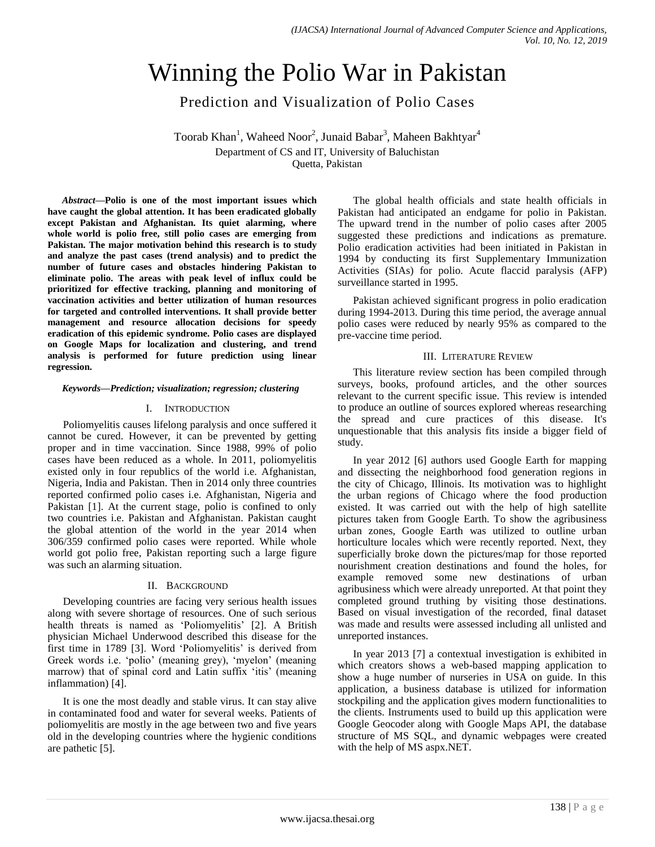# Winning the Polio War in Pakistan

Prediction and Visualization of Polio Cases

Toorab Khan<sup>1</sup>, Waheed Noor<sup>2</sup>, Junaid Babar<sup>3</sup>, Maheen Bakhtyar<sup>4</sup>

Department of CS and IT, University of Baluchistan

Quetta, Pakistan

*Abstract***—Polio is one of the most important issues which have caught the global attention. It has been eradicated globally except Pakistan and Afghanistan. Its quiet alarming, where whole world is polio free, still polio cases are emerging from Pakistan. The major motivation behind this research is to study and analyze the past cases (trend analysis) and to predict the number of future cases and obstacles hindering Pakistan to eliminate polio. The areas with peak level of influx could be prioritized for effective tracking, planning and monitoring of vaccination activities and better utilization of human resources for targeted and controlled interventions. It shall provide better management and resource allocation decisions for speedy eradication of this epidemic syndrome. Polio cases are displayed on Google Maps for localization and clustering, and trend analysis is performed for future prediction using linear regression.**

# *Keywords—Prediction; visualization; regression; clustering*

# I. INTRODUCTION

Poliomyelitis causes lifelong paralysis and once suffered it cannot be cured. However, it can be prevented by getting proper and in time vaccination. Since 1988, 99% of polio cases have been reduced as a whole. In 2011, poliomyelitis existed only in four republics of the world i.e. Afghanistan, Nigeria, India and Pakistan. Then in 2014 only three countries reported confirmed polio cases i.e. Afghanistan, Nigeria and Pakistan [1]. At the current stage, polio is confined to only two countries i.e. Pakistan and Afghanistan. Pakistan caught the global attention of the world in the year 2014 when 306/359 confirmed polio cases were reported. While whole world got polio free, Pakistan reporting such a large figure was such an alarming situation.

# II. BACKGROUND

Developing countries are facing very serious health issues along with severe shortage of resources. One of such serious health threats is named as 'Poliomyelitis' [2]. A British physician Michael Underwood described this disease for the first time in 1789 [3]. Word "Poliomyelitis" is derived from Greek words i.e. "polio" (meaning grey), "myelon" (meaning marrow) that of spinal cord and Latin suffix 'itis' (meaning inflammation) [4].

It is one the most deadly and stable virus. It can stay alive in contaminated food and water for several weeks. Patients of poliomyelitis are mostly in the age between two and five years old in the developing countries where the hygienic conditions are pathetic [5].

The global health officials and state health officials in Pakistan had anticipated an endgame for polio in Pakistan. The upward trend in the number of polio cases after 2005 suggested these predictions and indications as premature. Polio eradication activities had been initiated in Pakistan in 1994 by conducting its first Supplementary Immunization Activities (SIAs) for polio. Acute flaccid paralysis (AFP) surveillance started in 1995.

Pakistan achieved significant progress in polio eradication during 1994-2013. During this time period, the average annual polio cases were reduced by nearly 95% as compared to the pre-vaccine time period.

# III. LITERATURE REVIEW

This literature review section has been compiled through surveys, books, profound articles, and the other sources relevant to the current specific issue. This review is intended to produce an outline of sources explored whereas researching the spread and cure practices of this disease. It's unquestionable that this analysis fits inside a bigger field of study.

In year 2012 [6] authors used Google Earth for mapping and dissecting the neighborhood food generation regions in the city of Chicago, Illinois. Its motivation was to highlight the urban regions of Chicago where the food production existed. It was carried out with the help of high satellite pictures taken from Google Earth. To show the agribusiness urban zones, Google Earth was utilized to outline urban horticulture locales which were recently reported. Next, they superficially broke down the pictures/map for those reported nourishment creation destinations and found the holes, for example removed some new destinations of urban agribusiness which were already unreported. At that point they completed ground truthing by visiting those destinations. Based on visual investigation of the recorded, final dataset was made and results were assessed including all unlisted and unreported instances.

In year 2013 [7] a contextual investigation is exhibited in which creators shows a web-based mapping application to show a huge number of nurseries in USA on guide. In this application, a business database is utilized for information stockpiling and the application gives modern functionalities to the clients. Instruments used to build up this application were Google Geocoder along with Google Maps API, the database structure of MS SQL, and dynamic webpages were created with the help of MS aspx.NET.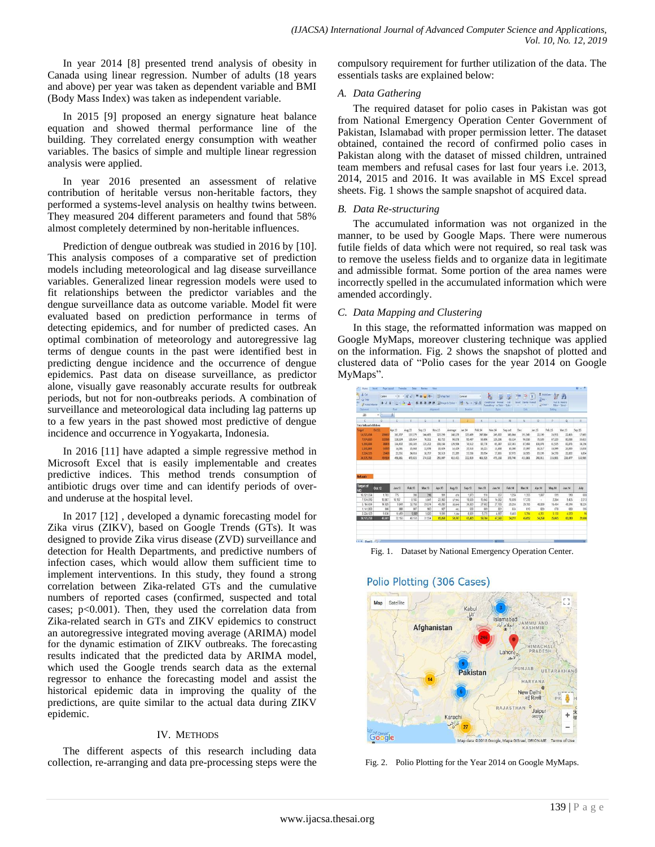In year 2014 [8] presented trend analysis of obesity in Canada using linear regression. Number of adults (18 years and above) per year was taken as dependent variable and BMI (Body Mass Index) was taken as independent variable.

In 2015 [9] proposed an energy signature heat balance equation and showed thermal performance line of the building. They correlated energy consumption with weather variables. The basics of simple and multiple linear regression analysis were applied.

In year 2016 presented an assessment of relative contribution of heritable versus non-heritable factors, they performed a systems-level analysis on healthy twins between. They measured 204 different parameters and found that 58% almost completely determined by non-heritable influences.

Prediction of dengue outbreak was studied in 2016 by [10]. This analysis composes of a comparative set of prediction models including meteorological and lag disease surveillance variables. Generalized linear regression models were used to fit relationships between the predictor variables and the dengue surveillance data as outcome variable. Model fit were evaluated based on prediction performance in terms of detecting epidemics, and for number of predicted cases. An optimal combination of meteorology and autoregressive lag terms of dengue counts in the past were identified best in predicting dengue incidence and the occurrence of dengue epidemics. Past data on disease surveillance, as predictor alone, visually gave reasonably accurate results for outbreak periods, but not for non-outbreaks periods. A combination of surveillance and meteorological data including lag patterns up to a few years in the past showed most predictive of dengue incidence and occurrence in Yogyakarta, Indonesia.

In 2016 [11] have adapted a simple regressive method in Microsoft Excel that is easily implementable and creates predictive indices. This method trends consumption of antibiotic drugs over time and can identify periods of overand underuse at the hospital level.

In 2017 [12] , developed a dynamic forecasting model for Zika virus (ZIKV), based on Google Trends (GTs). It was designed to provide Zika virus disease (ZVD) surveillance and detection for Health Departments, and predictive numbers of infection cases, which would allow them sufficient time to implement interventions. In this study, they found a strong correlation between Zika-related GTs and the cumulative numbers of reported cases (confirmed, suspected and total cases; p<0.001). Then, they used the correlation data from Zika-related search in GTs and ZIKV epidemics to construct an autoregressive integrated moving average (ARIMA) model for the dynamic estimation of ZIKV outbreaks. The forecasting results indicated that the predicted data by ARIMA model, which used the Google trends search data as the external regressor to enhance the forecasting model and assist the historical epidemic data in improving the quality of the predictions, are quite similar to the actual data during ZIKV epidemic.

# IV. METHODS

The different aspects of this research including data collection, re-arranging and data pre-processing steps were the compulsory requirement for further utilization of the data. The essentials tasks are explained below:

# *A. Data Gathering*

The required dataset for polio cases in Pakistan was got from National Emergency Operation Center Government of Pakistan, Islamabad with proper permission letter. The dataset obtained, contained the record of confirmed polio cases in Pakistan along with the dataset of missed children, untrained team members and refusal cases for last four years i.e. 2013, 2014, 2015 and 2016. It was available in MS Excel spread sheets. Fig. 1 shows the sample snapshot of acquired data.

# *B. Data Re-structuring*

The accumulated information was not organized in the manner, to be used by Google Maps. There were numerous futile fields of data which were not required, so real task was to remove the useless fields and to organize data in legitimate and admissible format. Some portion of the area names were incorrectly spelled in the accumulated information which were amended accordingly.

# *C. Data Mapping and Clustering*

In this stage, the reformatted information was mapped on Google MyMaps, moreover clustering technique was applied on the information. Fig. 2 shows the snapshot of plotted and clustered data of "Polio cases for the year 2014 on Google MyMaps".

| & OA<br>部<br>$-2$ Copy       | Calibri          | $-111$<br>÷         | A <sub>n</sub> | $\sum_{i=1}^{n}$<br>$= -1$ | <b>Services</b> Test                      |                            | General       | ٠       | 輼                                                     |          | Þ<br>序                                          | 田<br>前班-      | $\sum_{i=1}^{n}$ and $\sum_{i=1}^{n}$ |                                     |         |
|------------------------------|------------------|---------------------|----------------|----------------------------|-------------------------------------------|----------------------------|---------------|---------|-------------------------------------------------------|----------|-------------------------------------------------|---------------|---------------------------------------|-------------------------------------|---------|
| <b>Fremat hanter</b>         |                  | $22.2 - 0.1 - 0.02$ | i Calv         |                            | œ                                         | Hilldarge & Center +       | <b>ヨール・ジコ</b> |         | Constitute Format<br>Formatting * as Table * Styles * | Cell     | Issued: Delate Format<br><b>William William</b> | $Q$ Clair $r$ |                                       | Sait & First N<br>Filter * Select * |         |
| Cipboard                     | 14.7             | Ford                | <b>Co</b>      |                            | <b>Allgriment</b>                         | and the state of the state | <b>Namber</b> | ×       | 2m                                                    |          | <b>Off</b>                                      |               | Editori                               |                                     |         |
| 126                          | $\mathbf{v}$ (m) | A.                  |                |                            |                                           |                            |               |         |                                                       |          |                                                 |               |                                       |                                     |         |
| $\cdot$ c                    | $\overline{D}$   | έ                   | ś.             | G                          | Ĥ                                         |                            |               | ×       |                                                       | M        | N                                               | ö             | ×                                     | o                                   | R       |
| <b>Total Missed children</b> |                  |                     |                |                            |                                           |                            |               |         |                                                       |          |                                                 |               |                                       |                                     |         |
| arest                        | DH12             | Apr 13              | Aug.13         | Sen13                      | $N\sigma$ <sub><math>i</math></sub> $,13$ | Average                    | Jan. 14       | Feb.14  | Mar.14                                                | Sep.oct  | Dec                                             | 327.15        | Feb.15                                | Mar.15                              | Sep.15  |
| 15.521.654                   | 20667            | 163,707             | 157,279        | 144,405                    | 127,290                                   | 148,170                    | 125,409       | 347,884 | 249,022                                               | 143, 864 | 191,545                                         | 22.190        | 26,951                                | 22,453                              | 17,605  |
| 7,974,810                    | 11558            | 118,934             | 120.654        | 70,011                     | 82.722                                    | 98,078                     | 95.407        | 93,696  | 129,236                                               | 69.334   | 96,916                                          | 79.530        | 67.329                                | 80,038                              | 55,633  |
| 5.164.434                    | 35800            | 134,402             | 150, 245       | 125, 212                   | 108,164                                   | 129,506                    | 74,512        | 82,770  | 65,387                                                | 127, 303 | 87,493                                          | 108.078       | 81,535                                | 81,873                              | 36.156  |
| 1,141,863                    | 54370            | 14,051              | 15,048         | 12,976                     | 15.629                                    | 54,429                     | 15,510        | 16,221  | 13,658                                                | 16,200   | 15,397                                          | 16,217        | 16,199                                | 34,000                              | 11,038  |
| 2.234.123                    | 25428            | 23,551              | 24,016         | 18,757                     | 18.510                                    | 21,209                     | 17,235        | 20.954  | 17.855                                                | 17.975   | 18,505                                          | 19.199        | 34,378                                | 21,822                              | 6.854   |
| 34.175.758                   | 454164           | 458,861             | 472,823        | 374,132                    | 355.907                                   | 415,431                    | 332,029       | 451,525 | 475,158                                               | 378,740  | 411, 161                                        | 248,911       | 216, 981                              | 236,477                             | 132,985 |
| Refusals                     |                  |                     |                |                            |                                           |                            |               |         |                                                       |          |                                                 |               |                                       |                                     |         |
|                              |                  |                     |                |                            |                                           |                            |               |         |                                                       |          |                                                 |               |                                       |                                     |         |
| <b>Target of</b><br>NЮ       | Oct.12           | Jan.13              | Feb.13         | Mar.13                     | Apr.13                                    | Aug.13                     | Sep.13        | Nov.13  | Jan.14                                                | Feb.14   | Mar.14                                          | Apr.14        | May 14                                | Jun.14                              | July    |
| 16.521.654                   | 1.783            | 775                 | 398            | 316                        | 991                                       | 676                        | 1.073         | 911     | 657                                                   | 1,224    | 1.355                                           | 1.087         | 599                                   | 518                                 | 680     |
| 7,974,810                    | 18,807           | 10.187              | 8.183          | 5.041                      | 23.962                                    | 17.942                     | 18.639        | 15.642  | 14.062                                                | 16.696   | 17.378                                          | u             | 2264                                  | 9435                                | 2213    |
| 5, 164, 434                  | 14.929           | 9,841               | 32.769         | 20,574                     | 49.283                                    | 32,840                     | 36.923        | 27.682  | 27.109                                                | 29.254   | 20,765                                          | 48.000        | 16.434                                | 49.914                              | 18.224  |
| 1.141.863                    | 886              | 888                 | 887            | 583                        | 927                                       | 461                        | 530           | 889     | B01                                                   | 634      | 810                                             | 820           | 578                                   | 680                                 | 395     |
| 2,224.123                    | 9.836            | 10,459              | 5.922          | 5.020                      | 9.591                                     | 7,294                      | 8.001         | 5.375   | 4,667                                                 | 6.403    | 5.394                                           | 4,351         | 5.131                                 | 4.063                               | 96      |
| 34.175.758                   | 46.661           | 32.150              | 48.159         | 31.934                     | 85,058                                    | 59,707                     | 65.423        | 50.784  | 47,568                                                | 54.211   | 45.692                                          | 54.258        | 25.065                                | 65,010                              | 21,608  |
|                              |                  |                     |                |                            |                                           |                            |               |         |                                                       |          |                                                 |               |                                       |                                     |         |
| <b>IF R Sheet (F)</b>        |                  |                     |                |                            |                                           |                            |               |         |                                                       |          |                                                 |               |                                       |                                     |         |

Fig. 1. Dataset by National Emergency Operation Center.

# Polio Plotting (306 Cases)



Fig. 2. Polio Plotting for the Year 2014 on Google MyMaps.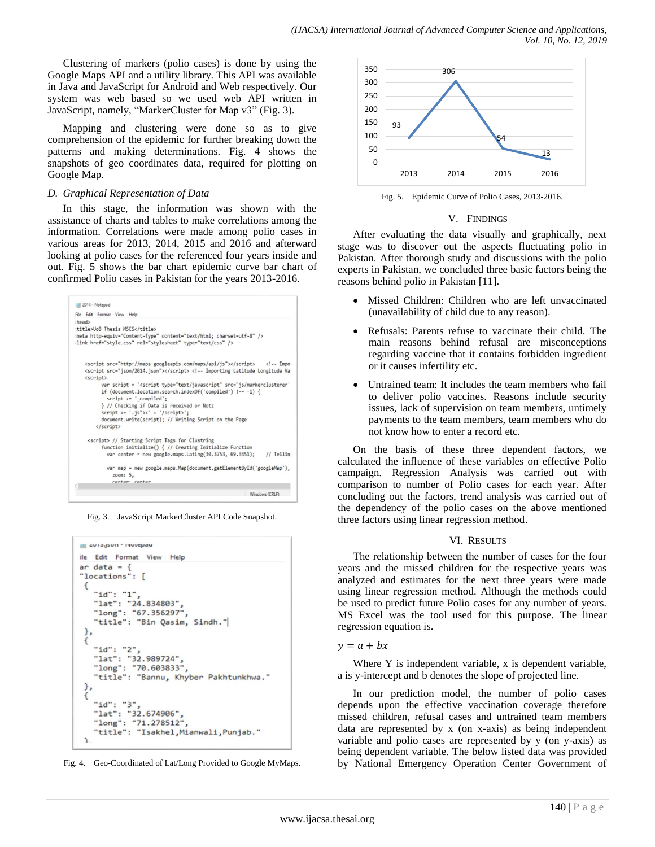Clustering of markers (polio cases) is done by using the Google Maps API and a utility library. This API was available in Java and JavaScript for Android and Web respectively. Our system was web based so we used web API written in JavaScript, namely, "MarkerCluster for Map v3" (Fig. 3).

Mapping and clustering were done so as to give comprehension of the epidemic for further breaking down the patterns and making determinations. Fig. 4 shows the snapshots of geo coordinates data, required for plotting on Google Map.

# *D. Graphical Representation of Data*

In this stage, the information was shown with the assistance of charts and tables to make correlations among the information. Correlations were made among polio cases in various areas for 2013, 2014, 2015 and 2016 and afterward looking at polio cases for the referenced four years inside and out. Fig. 5 shows the bar chart epidemic curve bar chart of confirmed Polio cases in Pakistan for the years 2013-2016.



Fig. 3. JavaScript MarkerCluster API Code Snapshot.







Fig. 5. Epidemic Curve of Polio Cases, 2013-2016.

## V. FINDINGS

After evaluating the data visually and graphically, next stage was to discover out the aspects fluctuating polio in Pakistan. After thorough study and discussions with the polio experts in Pakistan, we concluded three basic factors being the reasons behind polio in Pakistan [11].

- Missed Children: Children who are left unvaccinated (unavailability of child due to any reason).
- Refusals: Parents refuse to vaccinate their child. The main reasons behind refusal are misconceptions regarding vaccine that it contains forbidden ingredient or it causes infertility etc.
- Untrained team: It includes the team members who fail to deliver polio vaccines. Reasons include security issues, lack of supervision on team members, untimely payments to the team members, team members who do not know how to enter a record etc.

On the basis of these three dependent factors, we calculated the influence of these variables on effective Polio campaign. Regression Analysis was carried out with comparison to number of Polio cases for each year. After concluding out the factors, trend analysis was carried out of the dependency of the polio cases on the above mentioned three factors using linear regression method.

## VI. RESULTS

The relationship between the number of cases for the four years and the missed children for the respective years was analyzed and estimates for the next three years were made using linear regression method. Although the methods could be used to predict future Polio cases for any number of years. MS Excel was the tool used for this purpose. The linear regression equation is.

### $y = a + bx$

Where Y is independent variable, x is dependent variable, a is y-intercept and b denotes the slope of projected line.

In our prediction model, the number of polio cases depends upon the effective vaccination coverage therefore missed children, refusal cases and untrained team members data are represented by x (on x-axis) as being independent variable and polio cases are represented by y (on y-axis) as being dependent variable. The below listed data was provided by National Emergency Operation Center Government of